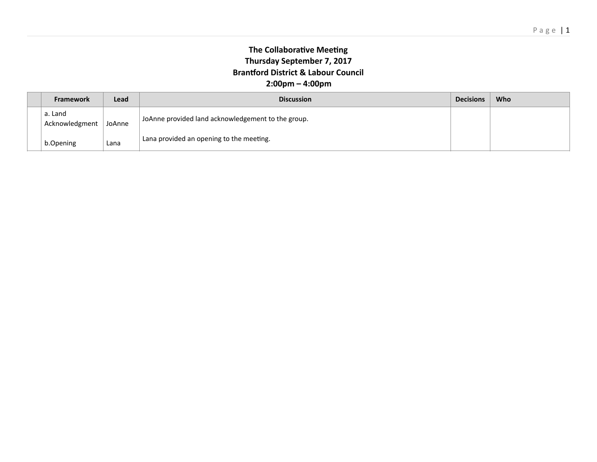## **The Collaborative Meeting Thursday September 7, 2017 Brantford District & Labour Council 2:00pm – 4:00pm**

|  | <b>Framework</b>          | Lead   | <b>Discussion</b>                                  | <b>Decisions</b> | Who |
|--|---------------------------|--------|----------------------------------------------------|------------------|-----|
|  | a. Land<br>Acknowledgment | JoAnne | JoAnne provided land acknowledgement to the group. |                  |     |
|  | b.Opening                 | Lana   | Lana provided an opening to the meeting.           |                  |     |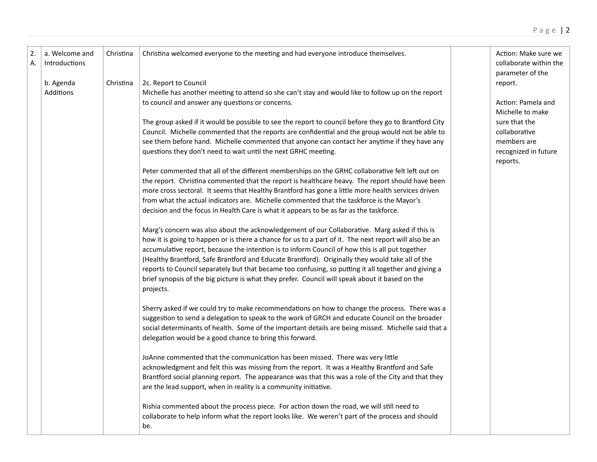| $\overline{2}$<br>А. | a. Welcome and<br>Introductions<br>b. Agenda | Christina<br>Christina | Christina welcomed everyone to the meeting and had everyone introduce themselves.<br>2c. Report to Council                                             | Action: Make sure we<br>collaborate within the<br>parameter of the<br>report. |
|----------------------|----------------------------------------------|------------------------|--------------------------------------------------------------------------------------------------------------------------------------------------------|-------------------------------------------------------------------------------|
|                      | Additions                                    |                        | Michelle has another meeting to attend so she can't stay and would like to follow up on the report<br>to council and answer any questions or concerns. | Action: Pamela and                                                            |
|                      |                                              |                        |                                                                                                                                                        | Michelle to make                                                              |
|                      |                                              |                        | The group asked if it would be possible to see the report to council before they go to Brantford City                                                  | sure that the                                                                 |
|                      |                                              |                        | Council. Michelle commented that the reports are confidential and the group would not be able to                                                       | collaborative                                                                 |
|                      |                                              |                        | see them before hand. Michelle commented that anyone can contact her anytime if they have any                                                          | members are                                                                   |
|                      |                                              |                        | questions they don't need to wait until the next GRHC meeting.                                                                                         | recognized in future                                                          |
|                      |                                              |                        | Peter commented that all of the different memberships on the GRHC collaborative felt left out on                                                       | reports.                                                                      |
|                      |                                              |                        | the report. Christina commented that the report is healthcare heavy. The report should have been                                                       |                                                                               |
|                      |                                              |                        | more cross sectoral. It seems that Healthy Brantford has gone a little more health services driven                                                     |                                                                               |
|                      |                                              |                        | from what the actual indicators are. Michelle commented that the taskforce is the Mayor's                                                              |                                                                               |
|                      |                                              |                        | decision and the focus in Health Care is what it appears to be as far as the taskforce.                                                                |                                                                               |
|                      |                                              |                        | Marg's concern was also about the acknowledgement of our Collaborative. Marg asked if this is                                                          |                                                                               |
|                      |                                              |                        | how it is going to happen or is there a chance for us to a part of it. The next report will also be an                                                 |                                                                               |
|                      |                                              |                        | accumulative report, because the intention is to inform Council of how this is all put together                                                        |                                                                               |
|                      |                                              |                        | (Healthy Brantford, Safe Brantford and Educate Brantford). Originally they would take all of the                                                       |                                                                               |
|                      |                                              |                        | reports to Council separately but that became too confusing, so putting it all together and giving a                                                   |                                                                               |
|                      |                                              |                        | brief synopsis of the big picture is what they prefer. Council will speak about it based on the<br>projects.                                           |                                                                               |
|                      |                                              |                        | Sherry asked if we could try to make recommendations on how to change the process. There was a                                                         |                                                                               |
|                      |                                              |                        | suggestion to send a delegation to speak to the work of GRCH and educate Council on the broader                                                        |                                                                               |
|                      |                                              |                        | social determinants of health. Some of the important details are being missed. Michelle said that a                                                    |                                                                               |
|                      |                                              |                        | delegation would be a good chance to bring this forward.                                                                                               |                                                                               |
|                      |                                              |                        | JoAnne commented that the communication has been missed. There was very little                                                                         |                                                                               |
|                      |                                              |                        | acknowledgment and felt this was missing from the report. It was a Healthy Brantford and Safe                                                          |                                                                               |
|                      |                                              |                        | Brantford social planning report. The appearance was that this was a role of the City and that they                                                    |                                                                               |
|                      |                                              |                        | are the lead support, when in reality is a community initiative.                                                                                       |                                                                               |
|                      |                                              |                        | Rishia commented about the process piece. For action down the road, we will still need to                                                              |                                                                               |
|                      |                                              |                        | collaborate to help inform what the report looks like. We weren't part of the process and should                                                       |                                                                               |
|                      |                                              |                        | be.                                                                                                                                                    |                                                                               |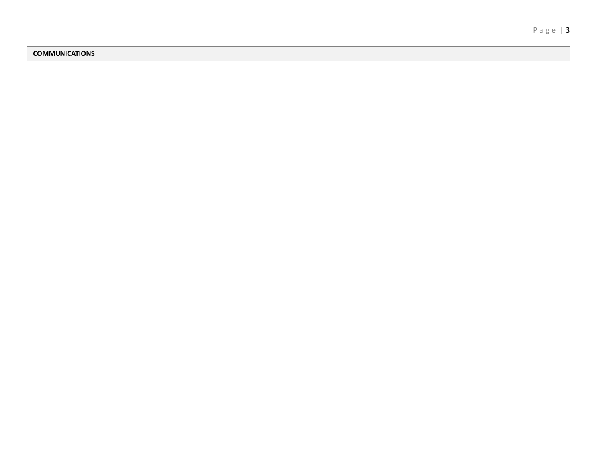## **COMMUNICATIONS**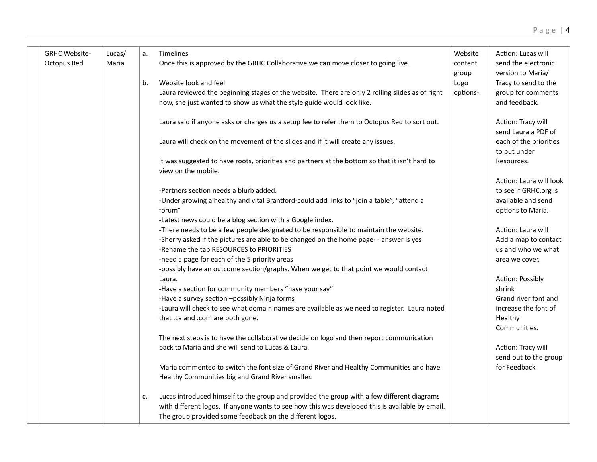| <b>GRHC Website-</b><br>Octopus Red | Lucas/<br>Maria | a. | Timelines<br>Once this is approved by the GRHC Collaborative we can move closer to going live.                                              | Website<br>content | Action: Lucas will<br>send the electronic<br>version to Maria/ |
|-------------------------------------|-----------------|----|---------------------------------------------------------------------------------------------------------------------------------------------|--------------------|----------------------------------------------------------------|
|                                     |                 | b. | Website look and feel                                                                                                                       | group<br>Logo      | Tracy to send to the                                           |
|                                     |                 |    | Laura reviewed the beginning stages of the website. There are only 2 rolling slides as of right                                             | options-           | group for comments                                             |
|                                     |                 |    | now, she just wanted to show us what the style guide would look like.                                                                       |                    | and feedback.                                                  |
|                                     |                 |    | Laura said if anyone asks or charges us a setup fee to refer them to Octopus Red to sort out.                                               |                    | Action: Tracy will<br>send Laura a PDF of                      |
|                                     |                 |    | Laura will check on the movement of the slides and if it will create any issues.                                                            |                    | each of the priorities<br>to put under                         |
|                                     |                 |    | It was suggested to have roots, priorities and partners at the bottom so that it isn't hard to<br>view on the mobile.                       |                    | Resources.                                                     |
|                                     |                 |    |                                                                                                                                             |                    | Action: Laura will look                                        |
|                                     |                 |    | -Partners section needs a blurb added.                                                                                                      |                    | to see if GRHC.org is                                          |
|                                     |                 |    | -Under growing a healthy and vital Brantford-could add links to "join a table", "attend a                                                   |                    | available and send                                             |
|                                     |                 |    | forum"                                                                                                                                      |                    | options to Maria.                                              |
|                                     |                 |    | -Latest news could be a blog section with a Google index.                                                                                   |                    |                                                                |
|                                     |                 |    | -There needs to be a few people designated to be responsible to maintain the website.                                                       |                    | Action: Laura will                                             |
|                                     |                 |    | -Sherry asked if the pictures are able to be changed on the home page- - answer is yes                                                      |                    | Add a map to contact                                           |
|                                     |                 |    | -Rename the tab RESOURCES to PRIORITIES                                                                                                     |                    | us and who we what                                             |
|                                     |                 |    | -need a page for each of the 5 priority areas                                                                                               |                    | area we cover.                                                 |
|                                     |                 |    | -possibly have an outcome section/graphs. When we get to that point we would contact                                                        |                    |                                                                |
|                                     |                 |    | Laura.                                                                                                                                      |                    | Action: Possibly                                               |
|                                     |                 |    | -Have a section for community members "have your say"                                                                                       |                    | shrink                                                         |
|                                     |                 |    | -Have a survey section -possibly Ninja forms                                                                                                |                    | Grand river font and                                           |
|                                     |                 |    | -Laura will check to see what domain names are available as we need to register. Laura noted                                                |                    | increase the font of                                           |
|                                     |                 |    | that .ca and .com are both gone.                                                                                                            |                    | Healthy                                                        |
|                                     |                 |    |                                                                                                                                             |                    | Communities.                                                   |
|                                     |                 |    | The next steps is to have the collaborative decide on logo and then report communication                                                    |                    |                                                                |
|                                     |                 |    | back to Maria and she will send to Lucas & Laura.                                                                                           |                    | Action: Tracy will                                             |
|                                     |                 |    |                                                                                                                                             |                    | send out to the group                                          |
|                                     |                 |    | Maria commented to switch the font size of Grand River and Healthy Communities and have<br>Healthy Communities big and Grand River smaller. |                    | for Feedback                                                   |
|                                     |                 | c. | Lucas introduced himself to the group and provided the group with a few different diagrams                                                  |                    |                                                                |
|                                     |                 |    | with different logos. If anyone wants to see how this was developed this is available by email.                                             |                    |                                                                |
|                                     |                 |    | The group provided some feedback on the different logos.                                                                                    |                    |                                                                |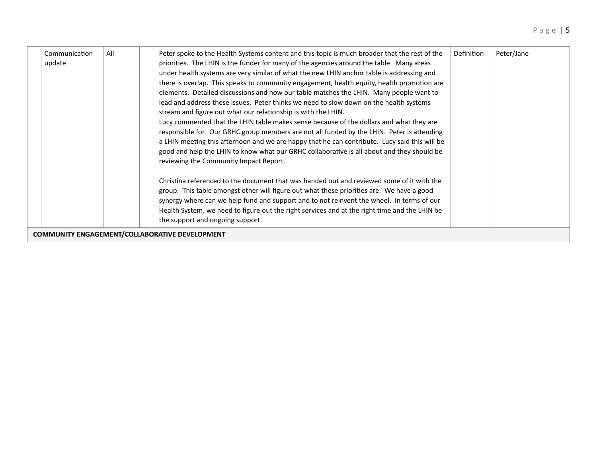| Communication<br>update                                                            | All | Peter spoke to the Health Systems content and this topic is much broader that the rest of the<br>priorities. The LHIN is the funder for many of the agencies around the table. Many areas<br>under health systems are very similar of what the new LHIN anchor table is addressing and<br>there is overlap. This speaks to community engagement, health equity, health promotion are<br>elements. Detailed discussions and how our table matches the LHIN. Many people want to<br>lead and address these issues. Peter thinks we need to slow down on the health systems<br>stream and figure out what our relationship is with the LHIN.<br>Lucy commented that the LHIN table makes sense because of the dollars and what they are<br>responsible for. Our GRHC group members are not all funded by the LHIN. Peter is attending<br>a LHIN meeting this afternoon and we are happy that he can contribute. Lucy said this will be<br>good and help the LHIN to know what our GRHC collaborative is all about and they should be<br>reviewing the Community Impact Report.<br>Christina referenced to the document that was handed out and reviewed some of it with the<br>group. This table amongst other will figure out what these priorities are. We have a good<br>synergy where can we help fund and support and to not reinvent the wheel. In terms of our<br>Health System, we need to figure out the right services and at the right time and the LHIN be | Definition | Peter/Jane |  |  |  |  |
|------------------------------------------------------------------------------------|-----|---------------------------------------------------------------------------------------------------------------------------------------------------------------------------------------------------------------------------------------------------------------------------------------------------------------------------------------------------------------------------------------------------------------------------------------------------------------------------------------------------------------------------------------------------------------------------------------------------------------------------------------------------------------------------------------------------------------------------------------------------------------------------------------------------------------------------------------------------------------------------------------------------------------------------------------------------------------------------------------------------------------------------------------------------------------------------------------------------------------------------------------------------------------------------------------------------------------------------------------------------------------------------------------------------------------------------------------------------------------------------------------------------------------------------------------------------------------------|------------|------------|--|--|--|--|
| the support and ongoing support.<br>COMMUNITY ENGAGEMENT/COLLABORATIVE DEVELOPMENT |     |                                                                                                                                                                                                                                                                                                                                                                                                                                                                                                                                                                                                                                                                                                                                                                                                                                                                                                                                                                                                                                                                                                                                                                                                                                                                                                                                                                                                                                                                     |            |            |  |  |  |  |
|                                                                                    |     |                                                                                                                                                                                                                                                                                                                                                                                                                                                                                                                                                                                                                                                                                                                                                                                                                                                                                                                                                                                                                                                                                                                                                                                                                                                                                                                                                                                                                                                                     |            |            |  |  |  |  |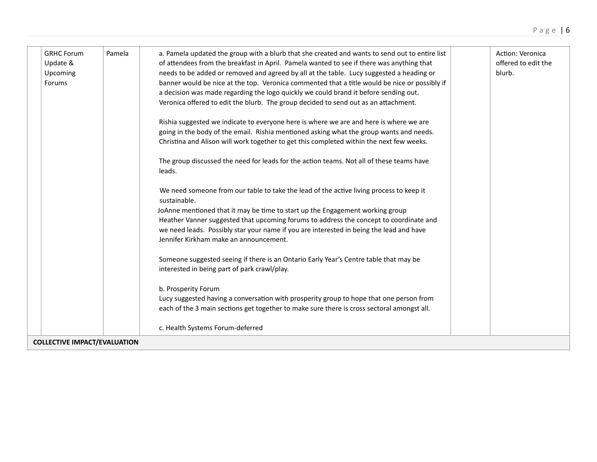| <b>GRHC Forum</b><br>Update &<br>Upcoming<br>Forums | Pamela | a. Pamela updated the group with a blurb that she created and wants to send out to entire list<br>of attendees from the breakfast in April. Pamela wanted to see if there was anything that<br>needs to be added or removed and agreed by all at the table. Lucy suggested a heading or<br>banner would be nice at the top. Veronica commented that a title would be nice or possibly if<br>a decision was made regarding the logo quickly we could brand it before sending out.<br>Veronica offered to edit the blurb. The group decided to send out as an attachment. | Action: Veronica<br>offered to edit the<br>blurb. |
|-----------------------------------------------------|--------|-------------------------------------------------------------------------------------------------------------------------------------------------------------------------------------------------------------------------------------------------------------------------------------------------------------------------------------------------------------------------------------------------------------------------------------------------------------------------------------------------------------------------------------------------------------------------|---------------------------------------------------|
|                                                     |        | Rishia suggested we indicate to everyone here is where we are and here is where we are                                                                                                                                                                                                                                                                                                                                                                                                                                                                                  |                                                   |
|                                                     |        | going in the body of the email. Rishia mentioned asking what the group wants and needs.                                                                                                                                                                                                                                                                                                                                                                                                                                                                                 |                                                   |
|                                                     |        | Christina and Alison will work together to get this completed within the next few weeks.                                                                                                                                                                                                                                                                                                                                                                                                                                                                                |                                                   |
|                                                     |        | The group discussed the need for leads for the action teams. Not all of these teams have<br>leads.                                                                                                                                                                                                                                                                                                                                                                                                                                                                      |                                                   |
|                                                     |        | We need someone from our table to take the lead of the active living process to keep it<br>sustainable.                                                                                                                                                                                                                                                                                                                                                                                                                                                                 |                                                   |
|                                                     |        | JoAnne mentioned that it may be time to start up the Engagement working group                                                                                                                                                                                                                                                                                                                                                                                                                                                                                           |                                                   |
|                                                     |        | Heather Vanner suggested that upcoming forums to address the concept to coordinate and                                                                                                                                                                                                                                                                                                                                                                                                                                                                                  |                                                   |
|                                                     |        | we need leads. Possibly star your name if you are interested in being the lead and have                                                                                                                                                                                                                                                                                                                                                                                                                                                                                 |                                                   |
|                                                     |        | Jennifer Kirkham make an announcement.                                                                                                                                                                                                                                                                                                                                                                                                                                                                                                                                  |                                                   |
|                                                     |        | Someone suggested seeing if there is an Ontario Early Year's Centre table that may be<br>interested in being part of park crawl/play.                                                                                                                                                                                                                                                                                                                                                                                                                                   |                                                   |
|                                                     |        | b. Prosperity Forum                                                                                                                                                                                                                                                                                                                                                                                                                                                                                                                                                     |                                                   |
|                                                     |        | Lucy suggested having a conversation with prosperity group to hope that one person from                                                                                                                                                                                                                                                                                                                                                                                                                                                                                 |                                                   |
|                                                     |        | each of the 3 main sections get together to make sure there is cross sectoral amongst all.                                                                                                                                                                                                                                                                                                                                                                                                                                                                              |                                                   |
|                                                     |        | c. Health Systems Forum-deferred                                                                                                                                                                                                                                                                                                                                                                                                                                                                                                                                        |                                                   |
| <b>COLLECTIVE IMPACT/EVALUATION</b>                 |        |                                                                                                                                                                                                                                                                                                                                                                                                                                                                                                                                                                         |                                                   |